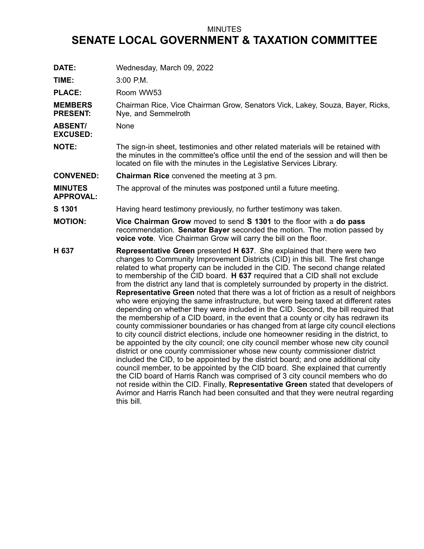## MINUTES

## **SENATE LOCAL GOVERNMENT & TAXATION COMMITTEE**

| DATE:                              | Wednesday, March 09, 2022                                                                                                                                                                                                                                                                                                                                                                                                                                                                                                                                                                                                                                                                                                                                                                                                                                                                                                                                                                                                                                                                                                                                                                                                                                                                                                                                                                                                                                                                                                                                                                   |
|------------------------------------|---------------------------------------------------------------------------------------------------------------------------------------------------------------------------------------------------------------------------------------------------------------------------------------------------------------------------------------------------------------------------------------------------------------------------------------------------------------------------------------------------------------------------------------------------------------------------------------------------------------------------------------------------------------------------------------------------------------------------------------------------------------------------------------------------------------------------------------------------------------------------------------------------------------------------------------------------------------------------------------------------------------------------------------------------------------------------------------------------------------------------------------------------------------------------------------------------------------------------------------------------------------------------------------------------------------------------------------------------------------------------------------------------------------------------------------------------------------------------------------------------------------------------------------------------------------------------------------------|
| TIME:                              | 3:00 P.M.                                                                                                                                                                                                                                                                                                                                                                                                                                                                                                                                                                                                                                                                                                                                                                                                                                                                                                                                                                                                                                                                                                                                                                                                                                                                                                                                                                                                                                                                                                                                                                                   |
| <b>PLACE:</b>                      | Room WW53                                                                                                                                                                                                                                                                                                                                                                                                                                                                                                                                                                                                                                                                                                                                                                                                                                                                                                                                                                                                                                                                                                                                                                                                                                                                                                                                                                                                                                                                                                                                                                                   |
| <b>MEMBERS</b><br><b>PRESENT:</b>  | Chairman Rice, Vice Chairman Grow, Senators Vick, Lakey, Souza, Bayer, Ricks,<br>Nye, and Semmelroth                                                                                                                                                                                                                                                                                                                                                                                                                                                                                                                                                                                                                                                                                                                                                                                                                                                                                                                                                                                                                                                                                                                                                                                                                                                                                                                                                                                                                                                                                        |
| <b>ABSENT/</b><br><b>EXCUSED:</b>  | None                                                                                                                                                                                                                                                                                                                                                                                                                                                                                                                                                                                                                                                                                                                                                                                                                                                                                                                                                                                                                                                                                                                                                                                                                                                                                                                                                                                                                                                                                                                                                                                        |
| <b>NOTE:</b>                       | The sign-in sheet, testimonies and other related materials will be retained with<br>the minutes in the committee's office until the end of the session and will then be<br>located on file with the minutes in the Legislative Services Library.                                                                                                                                                                                                                                                                                                                                                                                                                                                                                                                                                                                                                                                                                                                                                                                                                                                                                                                                                                                                                                                                                                                                                                                                                                                                                                                                            |
| <b>CONVENED:</b>                   | Chairman Rice convened the meeting at 3 pm.                                                                                                                                                                                                                                                                                                                                                                                                                                                                                                                                                                                                                                                                                                                                                                                                                                                                                                                                                                                                                                                                                                                                                                                                                                                                                                                                                                                                                                                                                                                                                 |
| <b>MINUTES</b><br><b>APPROVAL:</b> | The approval of the minutes was postponed until a future meeting.                                                                                                                                                                                                                                                                                                                                                                                                                                                                                                                                                                                                                                                                                                                                                                                                                                                                                                                                                                                                                                                                                                                                                                                                                                                                                                                                                                                                                                                                                                                           |
| S 1301                             | Having heard testimony previously, no further testimony was taken.                                                                                                                                                                                                                                                                                                                                                                                                                                                                                                                                                                                                                                                                                                                                                                                                                                                                                                                                                                                                                                                                                                                                                                                                                                                                                                                                                                                                                                                                                                                          |
| <b>MOTION:</b>                     | Vice Chairman Grow moved to send S 1301 to the floor with a do pass<br>recommendation. Senator Bayer seconded the motion. The motion passed by<br>voice vote. Vice Chairman Grow will carry the bill on the floor.                                                                                                                                                                                                                                                                                                                                                                                                                                                                                                                                                                                                                                                                                                                                                                                                                                                                                                                                                                                                                                                                                                                                                                                                                                                                                                                                                                          |
| H 637                              | <b>Representative Green</b> presented <b>H 637</b> . She explained that there were two<br>changes to Community Improvement Districts (CID) in this bill. The first change<br>related to what property can be included in the CID. The second change related<br>to membership of the CID board. H 637 required that a CID shall not exclude<br>from the district any land that is completely surrounded by property in the district.<br>Representative Green noted that there was a lot of friction as a result of neighbors<br>who were enjoying the same infrastructure, but were being taxed at different rates<br>depending on whether they were included in the CID. Second, the bill required that<br>the membership of a CID board, in the event that a county or city has redrawn its<br>county commissioner boundaries or has changed from at large city council elections<br>to city council district elections, include one homeowner residing in the district, to<br>be appointed by the city council; one city council member whose new city council<br>district or one county commissioner whose new county commissioner district<br>included the CID, to be appointed by the district board; and one additional city<br>council member, to be appointed by the CID board. She explained that currently<br>the CID board of Harris Ranch was comprised of 3 city council members who do<br>not reside within the CID. Finally, Representative Green stated that developers of<br>Avimor and Harris Ranch had been consulted and that they were neutral regarding<br>this bill. |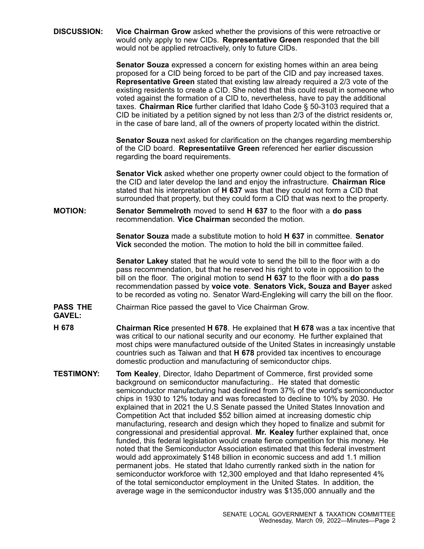**DISCUSSION: Vice Chairman Grow** asked whether the provisions of this were retroactive or would only apply to new CIDs. **Representative Green** responded that the bill would not be applied retroactively, only to future CIDs.

> **Senator Souza** expressed <sup>a</sup> concern for existing homes within an area being proposed for <sup>a</sup> CID being forced to be part of the CID and pay increased taxes. **Representative Green** stated that existing law already required <sup>a</sup> 2/3 vote of the existing residents to create <sup>a</sup> CID. She noted that this could result in someone who voted against the formation of <sup>a</sup> CID to, nevertheless, have to pay the additional taxes. **Chairman Rice** further clarified that Idaho Code § 50-3103 required that <sup>a</sup> CID be initiated by <sup>a</sup> petition signed by not less than 2/3 of the district residents or, in the case of bare land, all of the owners of property located within the district.

**Senator Souza** next asked for clarification on the changes regarding membership of the CID board. **Representatiive Green** referenced her earlier discussion regarding the board requirements.

**Senator Vick** asked whether one property owner could object to the formation of the CID and later develop the land and enjoy the infrastructure. **Chairman Rice** stated that his interpretation of **H 637** was that they could not form <sup>a</sup> CID that surrounded that property, but they could form <sup>a</sup> CID that was next to the property.

## **MOTION: Senator Semmelroth** moved to send **H 637** to the floor with <sup>a</sup> **do pass** recommendation. **Vice Chairman** seconded the motion.

**Senator Souza** made a substitute motion to hold **H 637** in committee. **Senator Vick** seconded the motion. The motion to hold the bill in committee failed.

**Senator Lakey** stated that he would vote to send the bill to the floor with <sup>a</sup> do pass recommendation, but that he reserved his right to vote in opposition to the bill on the floor. The original motion to send **H 637** to the floor with <sup>a</sup> **do pass** recommendation passed by **voice vote**. **Senators Vick, Souza and Bayer** asked to be recorded as voting no. Senator Ward-Engleking will carry the bill on the floor.

- **PASS THE** Chairman Rice passed the gavel to Vice Chairman Grow.
- **GAVEL:**
- **H 678 Chairman Rice** presented **H 678**. He explained that **H 678** was <sup>a</sup> tax incentive that was critical to our national security and our economy. He further explained that most chips were manufactured outside of the United States in increasingly unstable countries such as Taiwan and that **H 678** provided tax incentives to encourage domestic production and manufacturing of semiconductor chips.
- **TESTIMONY: Tom Kealey**, Director, Idaho Department of Commerce, first provided some background on semiconductor manufacturing.. He stated that domestic semiconductor manufacturing had declined from 37% of the world's semiconductor chips in 1930 to 12% today and was forecasted to decline to 10% by 2030. He explained that in 2021 the U.S Senate passed the United States Innovation and Competition Act that included \$52 billion aimed at increasing domestic chip manufacturing, research and design which they hoped to finalize and submit for congressional and presidential approval. **Mr. Kealey** further explained that, once funded, this federal legislation would create fierce competition for this money. He noted that the Semiconductor Association estimated that this federal investment would add approximately \$148 billion in economic success and add 1.1 million permanent jobs. He stated that Idaho currently ranked sixth in the nation for semiconductor workforce with 12,300 employed and that Idaho represented 4% of the total semiconductor employment in the United States. In addition, the average wage in the semiconductor industry was \$135,000 annually and the